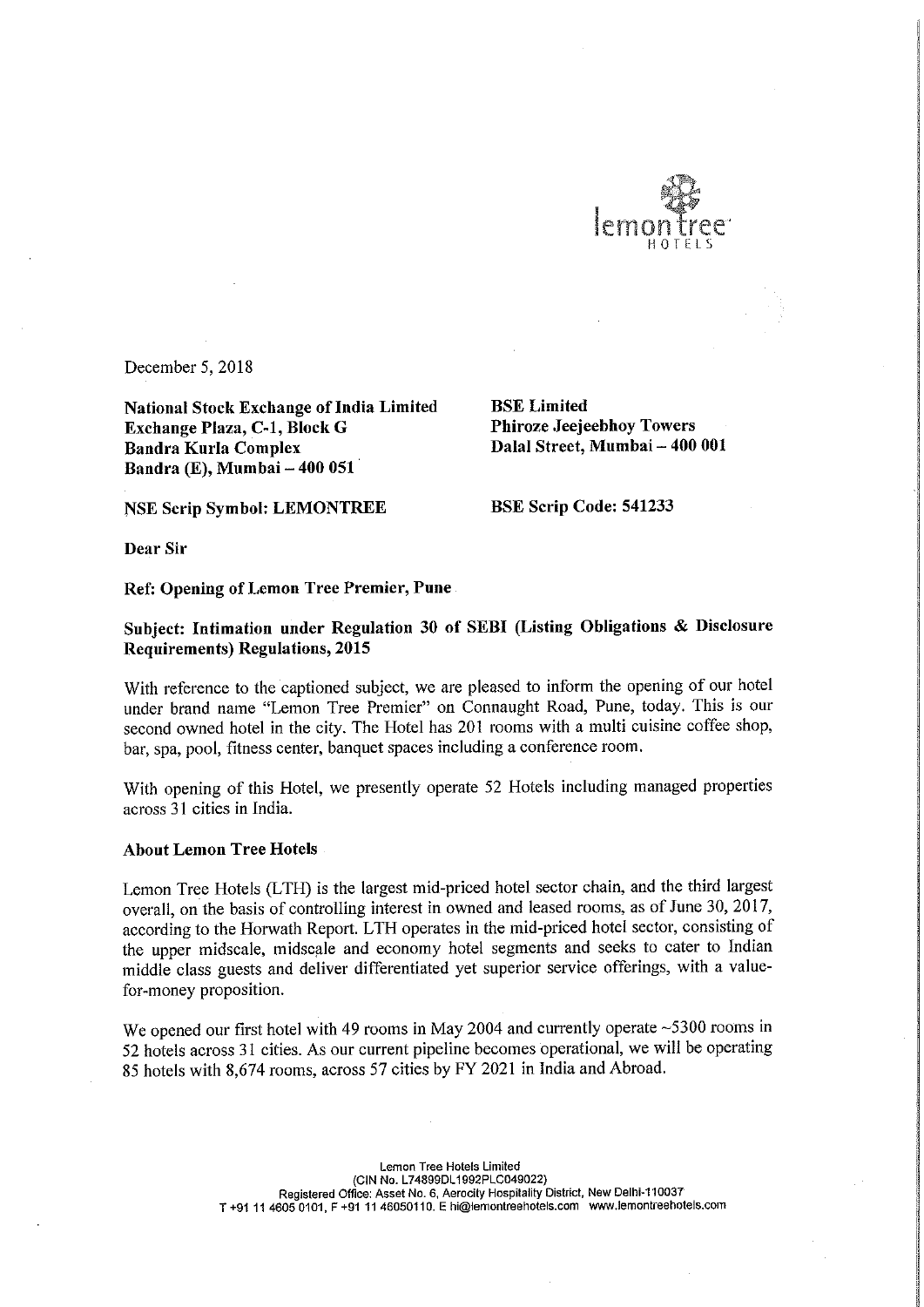

December 5, 2018

National Stock Exchange of India Limited<br> **Exchange Plaza, C-1, Block G** Phiroze Jeejeebhoy Towers Exchange Plaza, C-1, Block G Bandra Kurla Complex Bandra (E), Mumbai — 400 051

Dalal Street, Mumbai - 400 001

NSE Scrip Symbol: LEMONTREE BSE Scrip Code: 541233

Dear Sir

Ref: Opening of Lemon Tree Premier, Pune

Subject: Intimation under Regulation <sup>30</sup> of SEBI (Listing Obligations & Disclosure Requirements) Regulations, 2015

With reference to the captioned subject, we are pleased to inform the opening of our hotel under brand name "Lemon Tree Premier" on Connaught Road, Pune, today. This is our second owned hotel in the city. The Hotel has <sup>201</sup> rooms with <sup>a</sup> multi cuisine coffee shop, bar, spa, pool, fitness center, banquet spaces including <sup>a</sup> conference room.

With opening of this Hotel, we presently operate <sup>52</sup> Hotels including managed properties across 31 cities in India.

## About Lemon Tree Hotels

Lemon Tree Hotels (LTH) is the largest mid-priced hotel sector chain, and the third largest overall, on the basis of controlling interest in owned and leased rooms, as of June 30, 2017, according to the Horwath Report. LTH operates in the mid-priced hotel sector, consisting of the upper midscale, midscale and economy hotel segments and seeks to cater to Indian middle class guests and deliver differentiated yet superior service offerings, with <sup>a</sup> valuefor-money proposition.

We opened our first hotel with 49 rooms in May 2004 and currently operate ~5300 rooms in <sup>52</sup> hotels across <sup>31</sup> cities. As our current pipeline becomes operational, we will be operating <sup>85</sup> hotels with 8,674 rooms, across 57 cities by FY 2021 in India and Abroad.